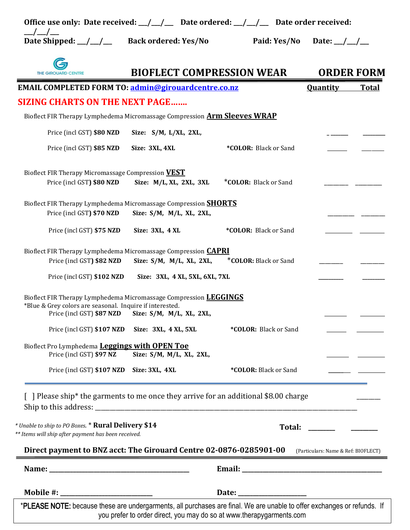| Office use only: Date received: $\frac{1}{\frac{1}{2}}$ Date ordered: $\frac{1}{\frac{1}{2}}$ Date order received:                      |                                                                     |                              |                                     |
|-----------------------------------------------------------------------------------------------------------------------------------------|---------------------------------------------------------------------|------------------------------|-------------------------------------|
| $\frac{1}{1}$<br>Date Shipped: _/_/__                                                                                                   | <b>Back ordered: Yes/No</b>                                         | Paid: Yes/No                 | Date: $_{-}/_{-}/_{-}$              |
| <b>THE GIROUARD CENTRE</b>                                                                                                              | <b>BIOFLECT COMPRESSION WEAR</b>                                    |                              | <b>ORDER FORM</b>                   |
| <b>EMAIL COMPLETED FORM TO: admin@girouardcentre.co.nz</b>                                                                              |                                                                     |                              | <b>Quantity</b><br><b>Total</b>     |
| <b>SIZING CHARTS ON THE NEXT PAGE</b>                                                                                                   |                                                                     |                              |                                     |
| Bioflect FIR Therapy Lymphedema Micromassage Compression <b>Arm Sleeves WRAP</b>                                                        |                                                                     |                              |                                     |
| Price (incl GST) \$80 NZD                                                                                                               | Size: S/M, L/XL, 2XL,                                               |                              |                                     |
| Price (incl GST) \$85 NZD                                                                                                               | Size: 3XL, 4XL                                                      | *COLOR: Black or Sand        |                                     |
| Bioflect FIR Therapy Micromassage Compression VEST<br>Price (incl GST) \$80 NZD                                                         | Size: M/L, XL, 2XL, 3XL                                             | *COLOR: Black or Sand        |                                     |
| Bioflect FIR Therapy Lymphedema Micromassage Compression <b>SHORTS</b><br>Price (incl GST) \$70 NZD                                     | Size: S/M, M/L, XL, 2XL,                                            |                              |                                     |
| Price (incl GST) \$75 NZD                                                                                                               | Size: 3XL, 4XL                                                      | *COLOR: Black or Sand        |                                     |
| Bioflect FIR Therapy Lymphedema Micromassage Compression <b>CAPRI</b><br>Price (incl GST) \$82 NZD                                      | Size: S/M, M/L, XL, 2XL,                                            | <b>*COLOR:</b> Black or Sand |                                     |
| Price (incl GST) \$102 NZD                                                                                                              | Size: 3XL, 4 XL, 5XL, 6XL, 7XL                                      |                              |                                     |
| Bioflect FIR Therapy Lymphedema Micromassage Compression <b>LEGGINGS</b><br>*Blue & Grey colors are seasonal. Inquire if interested.    | Price (incl GST) \$87 NZD Size: S/M, M/L, XL, 2XL,                  |                              |                                     |
| Price (incl GST) \$107 NZD                                                                                                              | Size: 3XL, 4 XL, 5XL                                                | *COLOR: Black or Sand        |                                     |
| Bioflect Pro Lymphedema Leggings with OPEN Toe<br>Price (incl GST) \$97 NZ                                                              | Size: S/M, M/L, XL, 2XL,                                            |                              |                                     |
| Price (incl GST) \$107 NZD                                                                                                              | Size: 3XL, 4XL                                                      | *COLOR: Black or Sand        |                                     |
| Please ship* the garments to me once they arrive for an additional \$8.00 charge<br>* Unable to ship to PO Boxes. * Rural Delivery \$14 |                                                                     |                              |                                     |
| ** Items will ship after payment has been received.<br>Direct payment to BNZ acct: The Girouard Centre 02-0876-0285901-00               |                                                                     |                              | (Particulars: Name & Ref: BIOFLECT) |
|                                                                                                                                         |                                                                     |                              |                                     |
|                                                                                                                                         |                                                                     |                              |                                     |
| *PLEASE NOTE: because these are undergarments, all purchases are final. We are unable to offer exchanges or refunds. If                 | you prefer to order direct you may do so at www.therapygarments.com |                              |                                     |

you prefer to order direct, you may do so at www.therapygarments.com